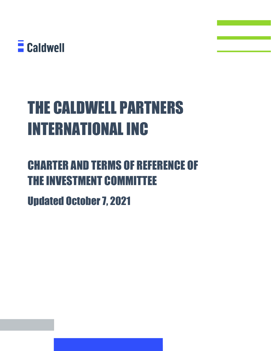

# THE CALDWELL PARTNERS INTERNATIONAL INC

## CHARTER AND TERMS OF REFERENCE OF THE INVESTMENT COMMITTEE

Updated October 7, 2021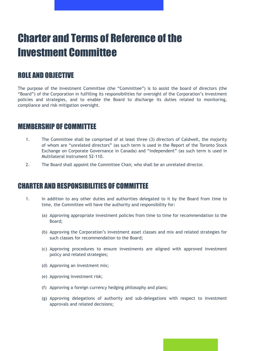### Charter and Terms of Reference of the Investment Committee

#### ROLE AND OBJECTIVE

The purpose of the Investment Committee (the "Committee") is to assist the board of directors (the "Board") of the Corporation in fulfilling its responsibilities for oversight of the Corporation's investment policies and strategies, and to enable the Board to discharge its duties related to monitoring, compliance and risk mitigation oversight.

#### MEMBERSHIP OF COMMITTEE

- 1. The Committee shall be comprised of at least three (3) directors of Caldwell, the majority of whom are "unrelated directors" (as such term is used in the Report of the Toronto Stock Exchange on Corporate Governance in Canada) and "independent" (as such term is used in Multilateral Instrument 52-110.
- 2. The Board shall appoint the Committee Chair, who shall be an unrelated director.

#### CHARTER AND RESPONSIBILITIES OF COMMITTEE

- 1. In addition to any other duties and authorities delegated to it by the Board from time to time, the Committee will have the authority and responsibility for:
	- (a) Approving appropriate investment policies from time to time for recommendation to the Board;
	- (b) Approving the Corporation's investment asset classes and mix and related strategies for such classes for recommendation to the Board;
	- (c) Approving procedures to ensure investments are aligned with approved investment policy and related strategies;
	- (d) Approving an investment mix;
	- (e) Approving investment risk;
	- (f) Approving a foreign currency hedging philosophy and plans;
	- (g) Approving delegations of authority and sub-delegations with respect to investment approvals and related decisions;